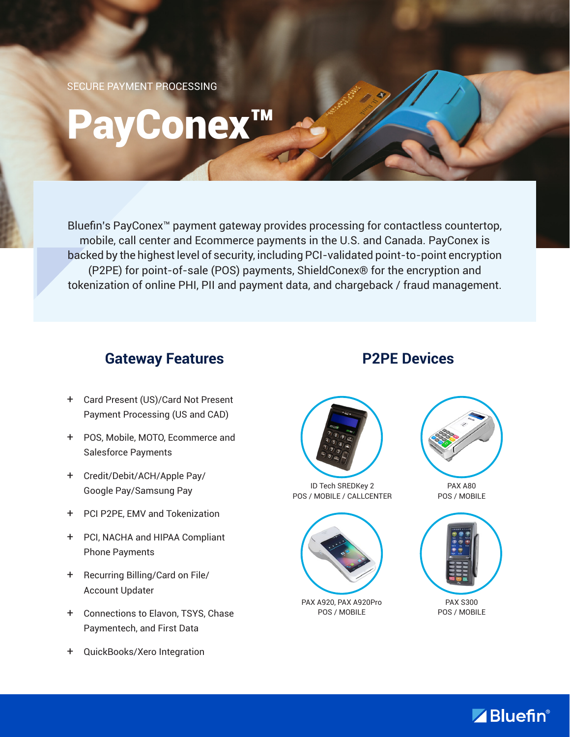SECURE PAYMENT PROCESSING

# PayConex™

Bluefin's PayConex™ payment gateway provides processing for contactless countertop, mobile, call center and Ecommerce payments in the U.S. and Canada. PayConex is backed by the highest level of security, including PCI-validated point-to-point encryption (P2PE) for point-of-sale (POS) payments, ShieldConex® for the encryption and tokenization of online PHI, PII and payment data, and chargeback / fraud management.

## **Gateway Features**

- + Card Present (US)/Card Not Present Payment Processing (US and CAD)
- + POS, Mobile, MOTO, Ecommerce and Salesforce Payments
- + Credit/Debit/ACH/Apple Pay/ Google Pay/Samsung Pay
- + PCI P2PE, EMV and Tokenization
- + PCI, NACHA and HIPAA Compliant Phone Payments
- + Recurring Billing/Card on File/ Account Updater
- + Connections to Elavon, TSYS, Chase Paymentech, and First Data
- + QuickBooks/Xero Integration

# **P2PE Devices**



ID Tech SREDKey 2 POS / MOBILE / CALLCENTER



PAX A920, PAX A920Pro POS / MOBILE



PAX A80 POS / MOBILE